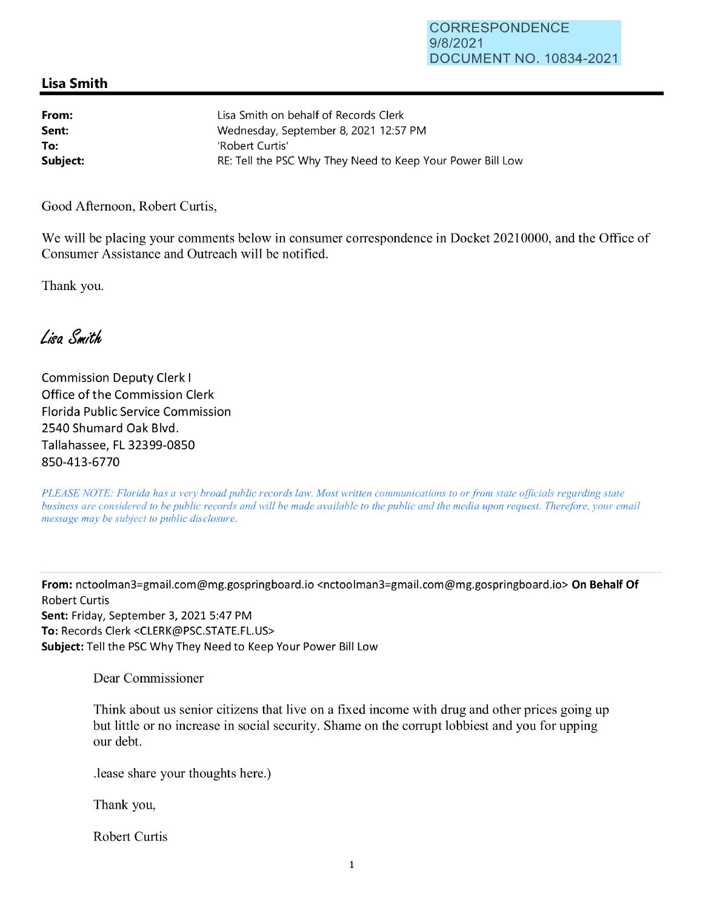## **Lisa Smith**

| From:    | Lisa Smith on behalf of Records Clerk                      |
|----------|------------------------------------------------------------|
| Sent:    | Wednesday, September 8, 2021 12:57 PM                      |
| To:      | 'Robert Curtis'                                            |
| Subject: | RE: Tell the PSC Why They Need to Keep Your Power Bill Low |

Good Afternoon, Robert Curtis,

We will be placing your comments below in consumer correspondence in Docket 20210000, and the Office of Consumer Assistance and Outreach will be notified.

Thank you.

Lien Smith

Commission Deputy Clerk I Office of the Commission Clerk Florida Public Service Commission 2540 Shumard Oak Blvd. Tallahassee, FL 32399-0850 850-413-6770

*PLEASE NOTE: Florida has a very broad public records law. Most written communications to or from state officials regarding state business are considered to be public records and will be made available to the public and the media upon request. Therefore, your email message may be subject to public disclosure.* 

**From:** nctoolman3=gmail.com@mg.gospringboard.io <nctoolman3=gmail.com@mg.gospringboard.io> **On Behalf Of**  Robert Curtis **Sent:** Friday, September 3, 2021 5:47 PM **To:** Records Clerk <CLERK@PSC.STATE.FL.US> **Subject:** Tell the PSC Why They Need to Keep Your Power Bill Low

Dear Commissioner

Think about us senior citizens that live on a fixed income with drug and other prices going up but little or no increase in social security. Shame on the corrupt lobbiest and you for upping our debt.

.lease share your thoughts here.)

Thank you,

Robert Curtis